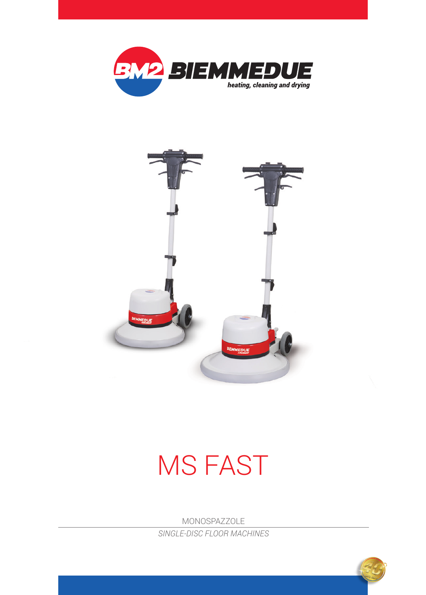



## MS FAST

MONOSPAZZOLE *SINGLE-DISC FLOOR MACHINES*

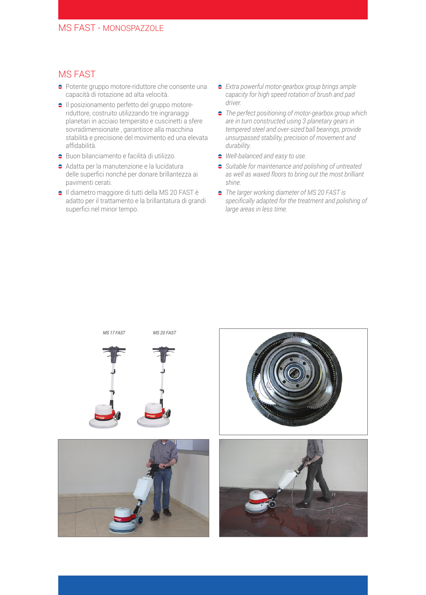## MS FAST

- Potente gruppo motore-riduttore che consente una capacità di rotazione ad alta velocità.
- $\bullet$  Il posizionamento perfetto del gruppo motoreriduttore, costruito utilizzando tre ingranaggi planetari in acciaio temperato e cuscinetti a sfere sovradimensionate , garantisce alla macchina stabilità e precisione del movimento ed una elevata affidabilità.
- $\bullet$  Buon bilanciamento e facilità di utilizzo.
- $\bullet$  Adatta per la manutenzione e la lucidatura delle superfici nonché per donare brillantezza ai pavimenti cerati.
- Il diametro maggiore di tutti della MS 20 FAST è adatto per il trattamento e la brillantatura di grandi superfici nel minor tempo.
- *Extra powerful motor-gearbox group brings ample capacity for high speed rotation of brush and pad driver.*
- *The perfect positioning of motor-gearbox group which are in turn constructed using 3 planetary gears in tempered steel and over-sized ball bearings, provide unsurpassed stability, precision of movement and durability.*
- *Well-balanced and easy to use.*
- *Suitable for maintenance and polishing of untreated as well as waxed floors to bring out the most brilliant shine.*
- *The larger working diameter of MS 20 FAST is specifically adapted for the treatment and polishing of large areas in less time.*

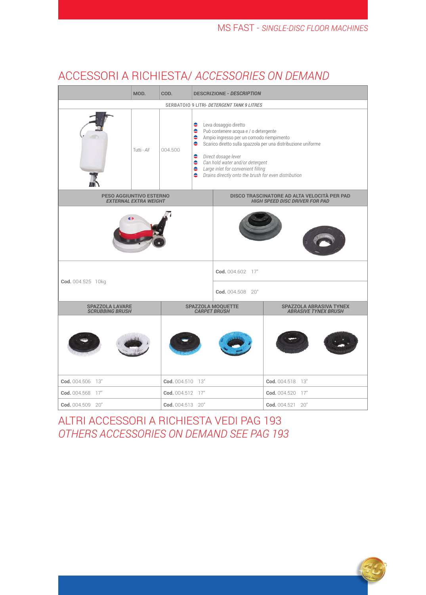## ACCESSORI A RICHIESTA/ *ACCESSORIES ON DEMAND*

|                                                         | MOD.        | COD.                              | <b>DESCRIZIONE - DESCRIPTION</b>                                                                                                                                                                                                                                                                                                                             |                                                                                      |                                                 |  |  |  |
|---------------------------------------------------------|-------------|-----------------------------------|--------------------------------------------------------------------------------------------------------------------------------------------------------------------------------------------------------------------------------------------------------------------------------------------------------------------------------------------------------------|--------------------------------------------------------------------------------------|-------------------------------------------------|--|--|--|
| SERBATOIO 9 LITRI- DETERGENT TANK 9 LITRES              |             |                                   |                                                                                                                                                                                                                                                                                                                                                              |                                                                                      |                                                 |  |  |  |
|                                                         | Tutti - All | 004.500                           | ●<br>Leva dosaggio diretto<br>٠<br>Può contenere acqua e / o detergente<br>Ampio ingresso per un comodo riempimento<br>Scarico diretto sulla spazzola per una distribuzione uniforme<br>٠<br><b>C</b> Direct dosage lever<br>Can hold water and/or detergent<br>Large inlet for convenient filling<br>• Drains directly onto the brush for even distribution |                                                                                      |                                                 |  |  |  |
| PESO AGGIUNTIVO ESTERNO<br><b>EXTERNAL EXTRA WEIGHT</b> |             |                                   |                                                                                                                                                                                                                                                                                                                                                              | DISCO TRASCINATORE AD ALTA VELOCITÀ PER PAD<br><b>HIGH SPEED DISC DRIVER FOR PAD</b> |                                                 |  |  |  |
| Cod. 004.525 10kg                                       |             |                                   | Cod. 004.602 17"                                                                                                                                                                                                                                                                                                                                             |                                                                                      |                                                 |  |  |  |
|                                                         |             |                                   |                                                                                                                                                                                                                                                                                                                                                              | Cod. 004.508 20"                                                                     |                                                 |  |  |  |
| <b>SPAZZOLA LAVARE</b><br><b>SCRUBBING BRUSH</b>        |             | SPAZZOLA MOQUETTE<br>CARPET BRUSH |                                                                                                                                                                                                                                                                                                                                                              |                                                                                      | SPAZZOLA ABRASIVA TYNEX<br>ABRASIVE TYNEX BRUSH |  |  |  |
|                                                         |             |                                   |                                                                                                                                                                                                                                                                                                                                                              |                                                                                      |                                                 |  |  |  |
| Cod. 004.506 13"                                        |             | Cod. 004.510 13"                  |                                                                                                                                                                                                                                                                                                                                                              |                                                                                      | Cod. 004.518 13"                                |  |  |  |
| Cod. 004.568 17"                                        |             | Cod. 004.512 17"                  |                                                                                                                                                                                                                                                                                                                                                              |                                                                                      | Cod. 004.520 17"                                |  |  |  |
| Cod. 004.509 20"                                        |             | Cod. 004.513 20"                  |                                                                                                                                                                                                                                                                                                                                                              |                                                                                      | Cod. 004.521 20"                                |  |  |  |

## ALTRI ACCESSORI A RICHIESTA VEDI PAG 193 *OTHERS ACCESSORIES ON DEMAND SEE PAG 193*